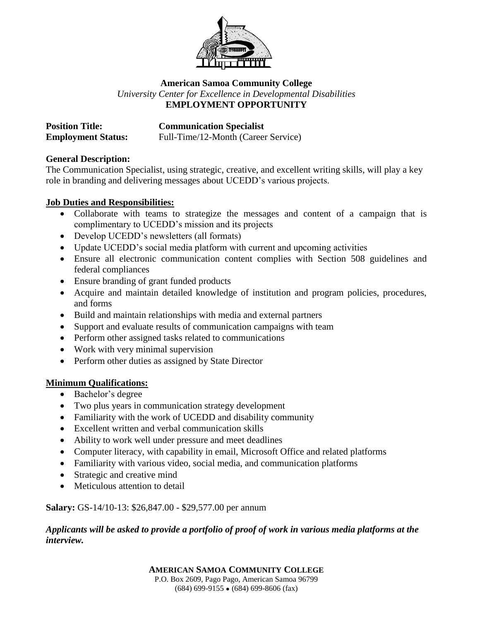

# **American Samoa Community College** *University Center for Excellence in Developmental Disabilities* **EMPLOYMENT OPPORTUNITY**

| <b>Position Title:</b>    | <b>Communication Specialist</b>     |
|---------------------------|-------------------------------------|
| <b>Employment Status:</b> | Full-Time/12-Month (Career Service) |

### **General Description:**

The Communication Specialist, using strategic, creative, and excellent writing skills, will play a key role in branding and delivering messages about UCEDD's various projects.

### **Job Duties and Responsibilities:**

- Collaborate with teams to strategize the messages and content of a campaign that is complimentary to UCEDD's mission and its projects
- Develop UCEDD's newsletters (all formats)
- Update UCEDD's social media platform with current and upcoming activities
- Ensure all electronic communication content complies with Section 508 guidelines and federal compliances
- Ensure branding of grant funded products
- Acquire and maintain detailed knowledge of institution and program policies, procedures, and forms
- Build and maintain relationships with media and external partners
- Support and evaluate results of communication campaigns with team
- Perform other assigned tasks related to communications
- Work with very minimal supervision
- Perform other duties as assigned by State Director

### **Minimum Qualifications:**

- Bachelor's degree
- Two plus years in communication strategy development
- Familiarity with the work of UCEDD and disability community
- Excellent written and verbal communication skills
- Ability to work well under pressure and meet deadlines
- Computer literacy, with capability in email, Microsoft Office and related platforms
- Familiarity with various video, social media, and communication platforms
- Strategic and creative mind
- Meticulous attention to detail

### **Salary:** GS-14/10-13: \$26,847.00 - \$29,577.00 per annum

### *Applicants will be asked to provide a portfolio of proof of work in various media platforms at the interview.*

**AMERICAN SAMOA COMMUNITY COLLEGE** P.O. Box 2609, Pago Pago, American Samoa 96799  $(684)$  699-9155  $\bullet$  (684) 699-8606 (fax)